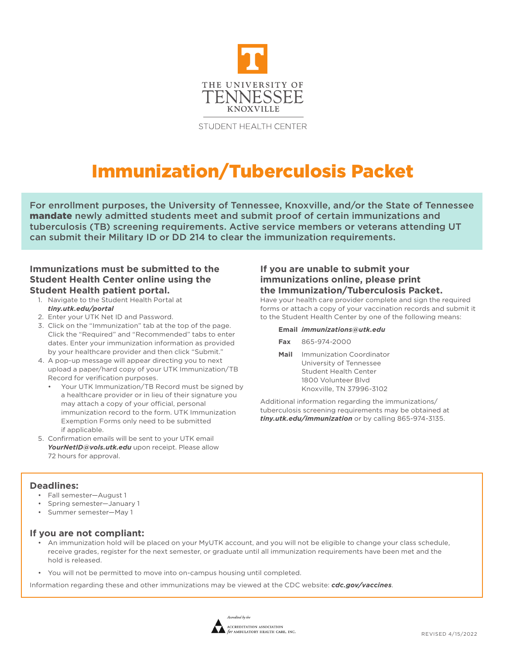

STUDENT HEALTH CENTER

# Immunization/Tuberculosis Packet

For enrollment purposes, the University of Tennessee, Knoxville, and/or the State of Tennessee mandate newly admitted students meet and submit proof of certain immunizations and tuberculosis (TB) screening requirements. Active service members or veterans attending UT can submit their Military ID or DD 214 to clear the immunization requirements.

### **Immunizations must be submitted to the Student Health Center online using the Student Health patient portal.**

- 1. Navigate to the Student Health Portal at *tiny.utk.edu/portal*
- 2. Enter your UTK Net ID and Password.
- 3. Click on the "Immunization" tab at the top of the page. Click the "Required" and "Recommended" tabs to enter dates. Enter your immunization information as provided by your healthcare provider and then click "Submit."
- 4. A pop-up message will appear directing you to next upload a paper/hard copy of your UTK Immunization/TB Record for verification purposes.
	- Your UTK Immunization/TB Record must be signed by a healthcare provider or in lieu of their signature you may attach a copy of your official, personal immunization record to the form. UTK Immunization Exemption Forms only need to be submitted if applicable.
- 5. Confirmation emails will be sent to your UTK email *YourNetID@vols.utk.edu* upon receipt. Please allow 72 hours for approval.

#### **If you are unable to submit your immunizations online, please print the Immunization/Tuberculosis Packet.**

Have your health care provider complete and sign the required forms or attach a copy of your vaccination records and submit it to the Student Health Center by one of the following means:

#### **Email** *immunizations@utk.edu*

- **Fax** 865-974-2000
- **Mail** Immunization Coordinator University of Tennessee Student Health Center 1800 Volunteer Blvd Knoxville, TN 37996-3102

Additional information regarding the immunizations/ tuberculosis screening requirements may be obtained at *tiny.utk.edu/immunization* or by calling 865-974-3135.

### **Deadlines:**

- Fall semester—August 1
- Spring semester—January 1
- Summer semester—May 1

#### **If you are not compliant:**

- An immunization hold will be placed on your MyUTK account, and you will not be eligible to change your class schedule, receive grades, register for the next semester, or graduate until all immunization requirements have been met and the hold is released.
- You will not be permitted to move into on-campus housing until completed.

Information regarding these and other immunizations may be viewed at the CDC website: *cdc.gov/vaccines*.

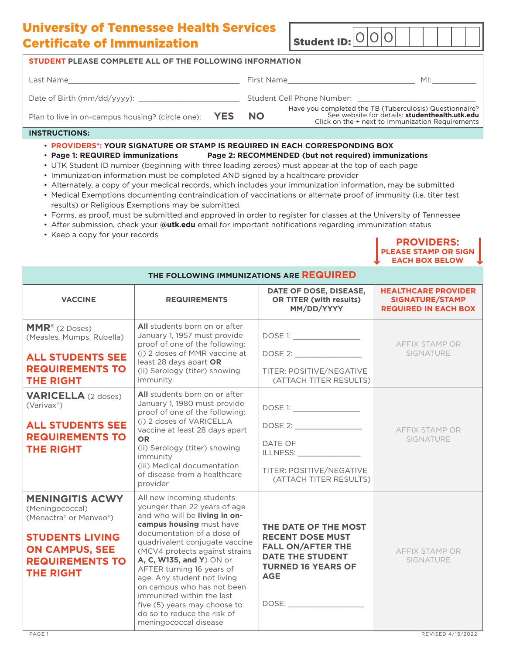## University of Tennessee Health Services Certificate of Immunization Student ID: 0 0 0

| <b>STUDENT PLEASE COMPLETE ALL OF THE FOLLOWING INFORMATION</b> |  |                                                                                                                                                                                                                                |                                                                                                                                                               |     |
|-----------------------------------------------------------------|--|--------------------------------------------------------------------------------------------------------------------------------------------------------------------------------------------------------------------------------|---------------------------------------------------------------------------------------------------------------------------------------------------------------|-----|
|                                                                 |  | First Name and the state of the state of the state of the state of the state of the state of the state of the state of the state of the state of the state of the state of the state of the state of the state of the state of |                                                                                                                                                               | MI: |
| Date of Birth (mm/dd/yyyy):                                     |  |                                                                                                                                                                                                                                |                                                                                                                                                               |     |
| Plan to live in on-campus housing? (circle one): YES NO         |  |                                                                                                                                                                                                                                | Have you completed the TB (Tuberculosis) Questionnaire?<br>See website for details: studenthealth.utk.edu<br>Click on the + next to Immunization Requirements |     |
| <b>INSTRUCTIONS:</b>                                            |  |                                                                                                                                                                                                                                |                                                                                                                                                               |     |

#### • **PROVIDERS\*: YOUR SIGNATURE OR STAMP IS REQUIRED IN EACH CORRESPONDING BOX**

- **Page 1: REQUIRED immunizations Page 2: RECOMMENDED (but not required) immunizations**
- UTK Student ID number (beginning with three leading zeroes) must appear at the top of each page
- Immunization information must be completed AND signed by a healthcare provider
- Alternately, a copy of your medical records, which includes your immunization information, may be submitted
- Medical Exemptions documenting contraindication of vaccinations or alternate proof of immunity (i.e. titer test results) or Religious Exemptions may be submitted.
- Forms, as proof, must be submitted and approved in order to register for classes at the University of Tennessee
- After submission, check your **@utk.edu** email for important notifications regarding immunization status
- Keep a copy for your records

| <b>PROVIDERS:</b>     |
|-----------------------|
| PLEASE STAMP OR SIGN  |
| <b>EACH BOX BELOW</b> |

| THE FOLLOWING IMMUNIZATIONS ARE REQUIRED                                                                                                                             |                                                                                                                                                                                                                                                                                                                                                                                                                                                                     |                                                                                                                                                                                  |                                                                                     |  |
|----------------------------------------------------------------------------------------------------------------------------------------------------------------------|---------------------------------------------------------------------------------------------------------------------------------------------------------------------------------------------------------------------------------------------------------------------------------------------------------------------------------------------------------------------------------------------------------------------------------------------------------------------|----------------------------------------------------------------------------------------------------------------------------------------------------------------------------------|-------------------------------------------------------------------------------------|--|
| <b>VACCINE</b>                                                                                                                                                       | DATE OF DOSE, DISEASE,<br><b>OR TITER (with results)</b><br><b>REQUIREMENTS</b><br>MM/DD/YYYY                                                                                                                                                                                                                                                                                                                                                                       |                                                                                                                                                                                  | <b>HEALTHCARE PROVIDER</b><br><b>SIGNATURE/STAMP</b><br><b>REQUIRED IN EACH BOX</b> |  |
| MMR <sup>®</sup> (2 Doses)<br>(Measles, Mumps, Rubella)<br><b>ALL STUDENTS SEE</b><br><b>REQUIREMENTS TO</b><br><b>THE RIGHT</b>                                     | All students born on or after<br>January 1, 1957 must provide<br>proof of one of the following:<br>(i) 2 doses of MMR vaccine at<br>least 28 days apart OR<br>(ii) Serology (titer) showing<br>immunity                                                                                                                                                                                                                                                             | DOSE 1: ________________<br>TITER: POSITIVE/NEGATIVE<br>(ATTACH TITER RESULTS)                                                                                                   | AFFIX STAMP OR<br>SIGNATURE                                                         |  |
| <b>VARICELLA</b> (2 doses)<br>(Varivax®)<br><b>ALL STUDENTS SEE</b><br><b>REQUIREMENTS TO</b><br><b>THE RIGHT</b>                                                    | All students born on or after<br>January 1, 1980 must provide<br>proof of one of the following:<br>(i) 2 doses of VARICELLA<br>vaccine at least 28 days apart<br><b>OR</b><br>(ii) Serology (titer) showing<br>immunity<br>(iii) Medical documentation<br>of disease from a healthcare<br>provider                                                                                                                                                                  | DATE OF<br>ILLNESS: New York Party and Party and Party and Party and Party and Party and Party and Party and Party and Par<br>TITER: POSITIVE/NEGATIVE<br>(ATTACH TITER RESULTS) | <b>AFFIX STAMP OR</b><br>SIGNATURE                                                  |  |
| <b>MENINGITIS ACWY</b><br>(Meningococcal)<br>(Menactra® or Menveo®)<br><b>STUDENTS LIVING</b><br><b>ON CAMPUS, SEE</b><br><b>REQUIREMENTS TO</b><br><b>THE RIGHT</b> | All new incoming students<br>younger than 22 years of age<br>and who will be living in on-<br>campus housing must have<br>documentation of a dose of<br>quadrivalent conjugate vaccine<br>(MCV4 protects against strains<br>A, C, W135, and Y) ON or<br>AFTER turning 16 years of<br>age. Any student not living<br>on campus who has not been<br>immunized within the last<br>five (5) years may choose to<br>do so to reduce the risk of<br>meningococcal disease | THE DATE OF THE MOST<br><b>RECENT DOSE MUST</b><br><b>FALL ON/AFTER THE</b><br><b>DATE THE STUDENT</b><br><b>TURNED 16 YEARS OF</b><br><b>AGE</b><br>DOSE:                       | AFFIX STAMP OR<br>SIGNATURE                                                         |  |
| PAGE 1                                                                                                                                                               |                                                                                                                                                                                                                                                                                                                                                                                                                                                                     |                                                                                                                                                                                  | REVISED 4/15/2022                                                                   |  |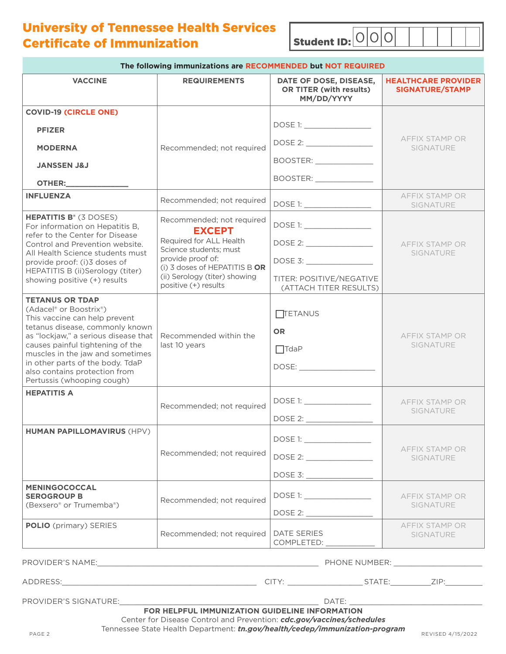University of Tennessee Health Services Certificate of Immunization  $\begin{array}{|l|l|}\n\hline\n\end{array}$  Student ID:  $\begin{array}{|l|l|}\n\hline\n\end{array}$ 

|                                                                                                                                               | The following immunizations are RECOMMENDED but NOT REQUIRED                                                                                                                                           |                                                                        |                                                                         |
|-----------------------------------------------------------------------------------------------------------------------------------------------|--------------------------------------------------------------------------------------------------------------------------------------------------------------------------------------------------------|------------------------------------------------------------------------|-------------------------------------------------------------------------|
| <b>VACCINE</b>                                                                                                                                | <b>REQUIREMENTS</b>                                                                                                                                                                                    | DATE OF DOSE, DISEASE,<br><b>OR TITER (with results)</b><br>MM/DD/YYYY | <b>HEALTHCARE PROVIDER</b><br>SIGNATURE/STAMP                           |
| <b>COVID-19 (CIRCLE ONE)</b>                                                                                                                  |                                                                                                                                                                                                        |                                                                        |                                                                         |
| <b>PFIZER</b>                                                                                                                                 |                                                                                                                                                                                                        | DOSE 1: ________________                                               |                                                                         |
| <b>MODERNA</b>                                                                                                                                | Recommended; not required                                                                                                                                                                              | DOSE 2: _________________                                              | <b>AFFIX STAMP OR</b><br>SIGNATURE                                      |
| <b>JANSSEN J&amp;J</b>                                                                                                                        |                                                                                                                                                                                                        | BOOSTER: ________________<br>BOOSTER: ________________                 |                                                                         |
| OTHER:                                                                                                                                        |                                                                                                                                                                                                        |                                                                        |                                                                         |
| <b>INFLUENZA</b>                                                                                                                              | Recommended; not required                                                                                                                                                                              |                                                                        | AFFIX STAMP OR<br>SIGNATURE                                             |
| <b>HEPATITIS B<sup>®</sup> (3 DOSES)</b><br>For information on Hepatitis B,                                                                   | Recommended; not required<br><b>EXCEPT</b>                                                                                                                                                             |                                                                        |                                                                         |
| refer to the Center for Disease<br>Control and Prevention website.<br>All Health Science students must                                        | Required for ALL Health<br>Science students; must                                                                                                                                                      | DOSE 2: _____________________                                          | AFFIX STAMP OR<br>SIGNATURE                                             |
| provide proof: (i)3 doses of<br>HEPATITIS B (ii)Serology (titer)                                                                              | provide proof of:<br>(i) 3 doses of HEPATITIS B OR                                                                                                                                                     | DOSE 3: _________________                                              |                                                                         |
| showing positive (+) results                                                                                                                  | (ii) Serology (titer) showing<br>positive (+) results                                                                                                                                                  | TITER: POSITIVE/NEGATIVE<br>(ATTACH TITER RESULTS)                     |                                                                         |
| <b>TETANUS OR TDAP</b><br>(Adacel <sup>®</sup> or Boostrix <sup>®</sup> )<br>This vaccine can help prevent<br>tetanus disease, commonly known |                                                                                                                                                                                                        | $\Box$ TETANUS                                                         |                                                                         |
| as "lockjaw," a serious disease that                                                                                                          | Recommended within the                                                                                                                                                                                 | <b>OR</b>                                                              | AFFIX STAMP OR                                                          |
| causes painful tightening of the<br>muscles in the jaw and sometimes                                                                          | last 10 years                                                                                                                                                                                          | $\Box$ TdaP                                                            | SIGNATURE                                                               |
| in other parts of the body. TdaP<br>also contains protection from<br>Pertussis (whooping cough)                                               |                                                                                                                                                                                                        |                                                                        |                                                                         |
| <b>HEPATITIS A</b>                                                                                                                            |                                                                                                                                                                                                        |                                                                        |                                                                         |
|                                                                                                                                               | Recommended; not required                                                                                                                                                                              | DOSE 1: _________________                                              | AFFIX STAMP OR<br><b>SIGNATURE</b>                                      |
|                                                                                                                                               |                                                                                                                                                                                                        |                                                                        |                                                                         |
| <b>HUMAN PAPILLOMAVIRUS (HPV)</b>                                                                                                             |                                                                                                                                                                                                        |                                                                        |                                                                         |
|                                                                                                                                               | Recommended; not required                                                                                                                                                                              |                                                                        | AFFIX STAMP OR<br><b>SIGNATURE</b>                                      |
|                                                                                                                                               |                                                                                                                                                                                                        |                                                                        |                                                                         |
| <b>MENINGOCOCCAL</b><br><b>SEROGROUP B</b>                                                                                                    | Recommended; not required                                                                                                                                                                              | DOSE 1: _________________                                              | AFFIX STAMP OR                                                          |
| (Bexsero® or Trumemba®)                                                                                                                       |                                                                                                                                                                                                        | DOSE 2: _______________                                                | <b>SIGNATURE</b>                                                        |
| <b>POLIO</b> (primary) SERIES                                                                                                                 | Recommended; not required                                                                                                                                                                              | <b>DATE SERIES</b><br>COMPLETED: ____________                          | AFFIX STAMP OR<br><b>SIGNATURE</b><br>and the control of the control of |
|                                                                                                                                               |                                                                                                                                                                                                        |                                                                        |                                                                         |
|                                                                                                                                               |                                                                                                                                                                                                        |                                                                        |                                                                         |
|                                                                                                                                               |                                                                                                                                                                                                        |                                                                        |                                                                         |
| PAGE 2                                                                                                                                        | FOR HELPFUL IMMUNIZATION GUIDELINE INFORMATION<br>Center for Disease Control and Prevention: cdc.gov/vaccines/schedules<br>Tennessee State Health Department: tn.gov/health/cedep/immunization-program |                                                                        | REVISED 4/15/2022                                                       |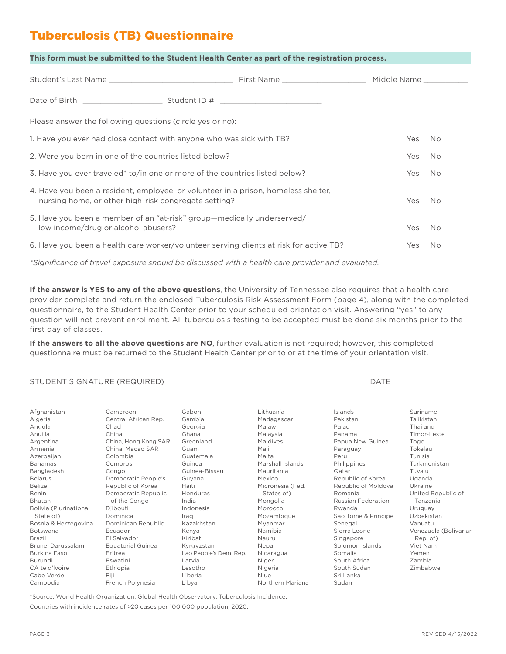# Tuberculosis (TB) Questionnaire

| This form must be submitted to the Student Health Center as part of the registration process. |  |  |
|-----------------------------------------------------------------------------------------------|--|--|
|-----------------------------------------------------------------------------------------------|--|--|

|                                                                                                                                            |  |  | Middle Name |           |
|--------------------------------------------------------------------------------------------------------------------------------------------|--|--|-------------|-----------|
|                                                                                                                                            |  |  |             |           |
| Please answer the following questions (circle yes or no):                                                                                  |  |  |             |           |
| 1. Have you ever had close contact with anyone who was sick with TB?                                                                       |  |  | Yes         | No.       |
| 2. Were you born in one of the countries listed below?                                                                                     |  |  | <b>Yes</b>  | <b>No</b> |
| 3. Have you ever traveled* to/in one or more of the countries listed below?                                                                |  |  | Yes         | No.       |
| 4. Have you been a resident, employee, or volunteer in a prison, homeless shelter,<br>nursing home, or other high-risk congregate setting? |  |  | Yes         | No.       |
| 5. Have you been a member of an "at-risk" group—medically underserved/<br>low income/drug or alcohol abusers?                              |  |  | <b>Yes</b>  | No.       |
| 6. Have you been a health care worker/volunteer serving clients at risk for active TB?                                                     |  |  | Yes         | No.       |

*\*Significance of travel exposure should be discussed with a health care provider and evaluated.*

**If the answer is YES to any of the above questions**, the University of Tennessee also requires that a health care provider complete and return the enclosed Tuberculosis Risk Assessment Form (page 4), along with the completed questionnaire, to the Student Health Center prior to your scheduled orientation visit. Answering "yes" to any question will not prevent enrollment. All tuberculosis testing to be accepted must be done six months prior to the first day of classes.

**If the answers to all the above questions are NO**, further evaluation is not required; however, this completed questionnaire must be returned to the Student Health Center prior to or at the time of your orientation visit.

#### STUDENT SIGNATURE (REQUIRED) \_\_\_\_\_\_\_\_\_\_\_\_\_\_\_\_\_\_\_\_\_\_\_\_\_\_\_\_\_\_\_\_\_\_\_\_\_\_\_\_\_\_\_\_ DATE \_\_\_\_\_\_\_\_\_\_\_\_\_\_\_\_\_

| Afghanistan            | Cameroon                 | Gabon                  | Lithuania        | Islands                   | Suriname              |
|------------------------|--------------------------|------------------------|------------------|---------------------------|-----------------------|
| Algeria                | Central African Rep.     | Gambia                 | Madagascar       | Pakistan                  | Taiikistan            |
| Angola                 | Chad                     | Georgia                | Malawi           | Palau                     | Thailand              |
| Anuilla                | China                    | Ghana                  | Malaysia         | Panama                    | Timor-Leste           |
| Argentina              | China, Hong Kong SAR     | Greenland              | Maldives         | Papua New Guinea          | Togo                  |
| Armenia                | China, Macao SAR         | Guam                   | Mali             | Paraguay                  | Tokelau               |
| Azerbaijan             | Colombia                 | Guatemala              | Malta            | Peru                      | Tunisia               |
| <b>Bahamas</b>         | Comoros                  | Guinea                 | Marshall Islands | Philippines               | Turkmenistan          |
| Bangladesh             | Congo                    | Guinea-Bissau          | Mauritania       | Qatar                     | Tuvalu                |
| <b>Belarus</b>         | Democratic People's      | Guyana                 | Mexico           | Republic of Korea         | Uganda                |
| <b>Belize</b>          | Republic of Korea        | Haiti                  | Micronesia (Fed. | Republic of Moldova       | Ukraine               |
| Benin                  | Democratic Republic      | Honduras               | States of)       | Romania                   | United Republic of    |
| Bhutan                 | of the Congo             | India                  | Mongolia         | <b>Russian Federation</b> | Tanzania              |
| Bolivia (Plurinational | Djibouti                 | Indonesia              | Morocco          | Rwanda                    | Uruguay               |
| State of)              | Dominica                 | Iraq                   | Mozambique       | Sao Tome & Principe       | Uzbekistan            |
| Bosnia & Herzegovina   | Dominican Republic       | Kazakhstan             | Myanmar          | Senegal                   | Vanuatu               |
| Botswana               | Ecuador                  | Kenya                  | Namibia          | Sierra Leone              | Venezuela (Bolivarian |
| Brazil                 | El Salvador              | Kiribati               | Nauru            | Singapore                 | Rep. of)              |
| Brunei Darussalam      | <b>Equatorial Guinea</b> | Kyrgyzstan             | Nepal            | Solomon Islands           | Viet Nam              |
| Burkina Faso           | Eritrea                  | Lao People's Dem. Rep. | Nicaragua        | Somalia                   | Yemen                 |
| Burundi                | Eswatini                 | Latvia                 | Niger            | South Africa              | Zambia                |
| CĀ te d'Ivoire         | Ethiopia                 | Lesotho                | Nigeria          | South Sudan               | Zimbabwe              |
| Cabo Verde             | Fiii                     | Liberia                | <b>Niue</b>      | Sri Lanka                 |                       |
| Cambodia               | French Polynesia         | Libya                  | Northern Mariana | Sudan                     |                       |

\*Source: World Health Organization, Global Health Observatory, Tuberculosis Incidence. Countries with incidence rates of >20 cases per 100,000 population, 2020.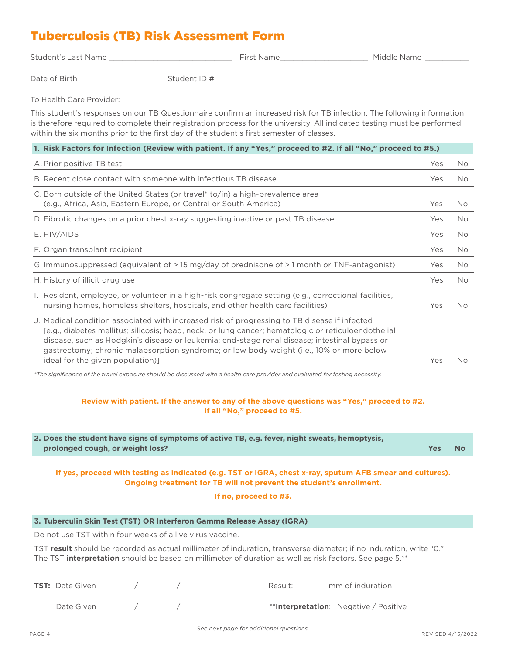### Tuberculosis (TB) Risk Assessment Form

| <b>Student's Last Name</b> | First Name | Middle Name |  |
|----------------------------|------------|-------------|--|
|                            |            |             |  |

Date of Birth Student ID #

To Health Care Provider:

This student's responses on our TB Questionnaire confirm an increased risk for TB infection. The following information is therefore required to complete their registration process for the university. All indicated testing must be performed within the six months prior to the first day of the student's first semester of classes.

#### **1. Risk Factors for Infection (Review with patient. If any "Yes," proceed to #2. If all "No," proceed to #5.)**

| A. Prior positive TB test                                                                                                                                                                                                                                                                                                                                                                                                            | Yes | No.       |
|--------------------------------------------------------------------------------------------------------------------------------------------------------------------------------------------------------------------------------------------------------------------------------------------------------------------------------------------------------------------------------------------------------------------------------------|-----|-----------|
| B. Recent close contact with someone with infectious TB disease                                                                                                                                                                                                                                                                                                                                                                      | Yes | No.       |
| C. Born outside of the United States (or travel* to/in) a high-prevalence area<br>(e.g., Africa, Asia, Eastern Europe, or Central or South America)                                                                                                                                                                                                                                                                                  | Yes | <b>No</b> |
| D. Fibrotic changes on a prior chest x-ray suggesting inactive or past TB disease                                                                                                                                                                                                                                                                                                                                                    | Yes | <b>No</b> |
| E. HIV/AIDS                                                                                                                                                                                                                                                                                                                                                                                                                          | Yes | No.       |
| F. Organ transplant recipient                                                                                                                                                                                                                                                                                                                                                                                                        | Yes | <b>No</b> |
| G. Immunosuppressed (equivalent of > 15 mg/day of prednisone of > 1 month or TNF-antagonist)                                                                                                                                                                                                                                                                                                                                         | Yes | No.       |
| H. History of illicit drug use                                                                                                                                                                                                                                                                                                                                                                                                       | Yes | <b>No</b> |
| I. Resident, employee, or volunteer in a high-risk congregate setting (e.g., correctional facilities,<br>nursing homes, homeless shelters, hospitals, and other health care facilities)                                                                                                                                                                                                                                              | Yes | No        |
| J. Medical condition associated with increased risk of progressing to TB disease if infected<br>[e.g., diabetes mellitus; silicosis; head, neck, or lung cancer; hematologic or reticuloendothelial<br>disease, such as Hodgkin's disease or leukemia; end-stage renal disease; intestinal bypass or<br>gastrectomy; chronic malabsorption syndrome; or low body weight (i.e., 10% or more below<br>ideal for the given population)] | Yes | No        |

*\*The significance of the travel exposure should be discussed with a health care provider and evaluated for testing necessity.*

#### **Review with patient. If the answer to any of the above questions was "Yes," proceed to #2. If all "No," proceed to #5.**

| 2. Does the student have signs of symptoms of active TB, e.g. fever, night sweats, hemoptysis, |     |    |
|------------------------------------------------------------------------------------------------|-----|----|
| prolonged cough, or weight loss?                                                               | Yes | No |
|                                                                                                |     |    |

**If yes, proceed with testing as indicated (e.g. TST or IGRA, chest x-ray, sputum AFB smear and cultures). Ongoing treatment for TB will not prevent the student's enrollment.**

**If no, proceed to #3.**

#### **3. Tuberculin Skin Test (TST) OR Interferon Gamma Release Assay (IGRA)**

Do not use TST within four weeks of a live virus vaccine.

TST **result** should be recorded as actual millimeter of induration, transverse diameter; if no induration, write "0." The TST **interpretation** should be based on millimeter of duration as well as risk factors. See page 5.\*\*

| <b>TST:</b> Date Given |  | Result: | mm of induration.                     |
|------------------------|--|---------|---------------------------------------|
| Date Given             |  |         | **Interpretation: Negative / Positive |